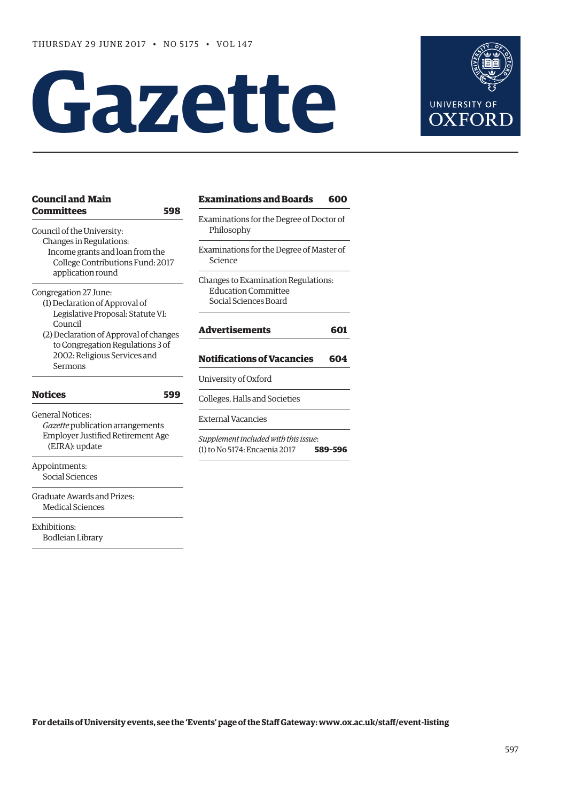# **Gazette**



| <b>Council and Main</b>                                                                        | <b>Examinations and Boards</b><br>600                                                                                                                                  |  |  |  |  |
|------------------------------------------------------------------------------------------------|------------------------------------------------------------------------------------------------------------------------------------------------------------------------|--|--|--|--|
| <b>Committees</b><br>598<br>Council of the University:                                         | Examinations for the Degree of Doctor of<br>Philosophy<br>Examinations for the Degree of Master of<br>Science                                                          |  |  |  |  |
| Changes in Regulations:<br>Income grants and loan from the<br>College Contributions Fund: 2017 |                                                                                                                                                                        |  |  |  |  |
| application round<br>Congregation 27 June:<br>(1) Declaration of Approval of                   | Changes to Examination Regulations:<br><b>Education Committee</b><br>Social Sciences Board<br><b>Advertisements</b><br>601<br><b>Notifications of Vacancies</b><br>604 |  |  |  |  |
| Legislative Proposal: Statute VI:<br>Council<br>(2) Declaration of Approval of changes         |                                                                                                                                                                        |  |  |  |  |
| to Congregation Regulations 3 of<br>2002: Religious Services and<br>Sermons                    |                                                                                                                                                                        |  |  |  |  |
|                                                                                                | University of Oxford                                                                                                                                                   |  |  |  |  |
| <b>Notices</b><br>599                                                                          | Colleges, Halls and Societies                                                                                                                                          |  |  |  |  |
| <b>General Notices:</b><br>Gazette publication arrangements                                    | <b>External Vacancies</b>                                                                                                                                              |  |  |  |  |
| <b>Employer Justified Retirement Age</b><br>(EJRA): update                                     | Supplement included with this issue:<br>(1) to No 5174: Encaenia 2017<br>589-596                                                                                       |  |  |  |  |
| Appointments:<br>Social Sciences                                                               |                                                                                                                                                                        |  |  |  |  |
| Graduate Awards and Prizes:<br><b>Medical Sciences</b>                                         |                                                                                                                                                                        |  |  |  |  |
| Exhibitions:<br><b>Bodleian Library</b>                                                        |                                                                                                                                                                        |  |  |  |  |

**For details of University events, see the 'Events' page of the Staff Gateway: [www.ox.ac.uk/staff/event-listing](http://www.ox.ac.uk/staff/event-listing)**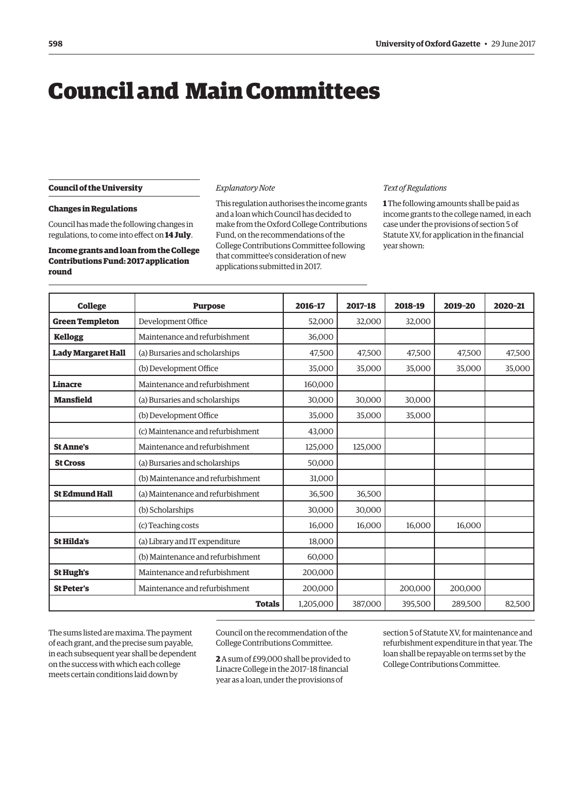# <span id="page-1-0"></span>Council and Main Committees

# **Council of the University**

# **Changes in Regulations**

Council has made the following changes in regulations, to come into effect on **14 July**.

# **Income grants and loan from the College Contributions Fund: 2017 application round**

#### *Explanatory Note*

This regulation authorises the income grants and a loan which Council has decided to make from the Oxford College Contributions Fund, on the recommendations of the College Contributions Committee following that committee's consideration of new applications submitted in 2017.

#### *Text of Regulations*

**1** The following amounts shall be paid as income grants to the college named, in each case under the provisions of section 5 of Statute XV, for application in the financial year shown:

| <b>College</b>            | <b>Purpose</b>                    | 2016-17   | 2017-18 | 2018-19 | 2019-20 | 2020-21 |
|---------------------------|-----------------------------------|-----------|---------|---------|---------|---------|
| <b>Green Templeton</b>    | Development Office                | 52,000    | 32,000  | 32,000  |         |         |
| <b>Kellogg</b>            | Maintenance and refurbishment     | 36.000    |         |         |         |         |
| <b>Lady Margaret Hall</b> | (a) Bursaries and scholarships    | 47,500    | 47,500  | 47,500  | 47,500  | 47,500  |
|                           | (b) Development Office            | 35,000    | 35,000  | 35,000  | 35,000  | 35,000  |
| <b>Linacre</b>            | Maintenance and refurbishment     | 160,000   |         |         |         |         |
| <b>Mansfield</b>          | (a) Bursaries and scholarships    | 30,000    | 30,000  | 30,000  |         |         |
|                           | (b) Development Office            | 35,000    | 35,000  | 35,000  |         |         |
|                           | (c) Maintenance and refurbishment | 43,000    |         |         |         |         |
| <b>St Anne's</b>          | Maintenance and refurbishment     | 125,000   | 125.000 |         |         |         |
| <b>St Cross</b>           | (a) Bursaries and scholarships    | 50,000    |         |         |         |         |
|                           | (b) Maintenance and refurbishment | 31,000    |         |         |         |         |
| <b>St Edmund Hall</b>     | (a) Maintenance and refurbishment | 36,500    | 36,500  |         |         |         |
|                           | (b) Scholarships                  | 30,000    | 30,000  |         |         |         |
|                           | (c) Teaching costs                | 16,000    | 16,000  | 16.000  | 16,000  |         |
| <b>St Hilda's</b>         | (a) Library and IT expenditure    | 18,000    |         |         |         |         |
|                           | (b) Maintenance and refurbishment | 60,000    |         |         |         |         |
| <b>St Hugh's</b>          | Maintenance and refurbishment     | 200,000   |         |         |         |         |
| <b>St Peter's</b>         | Maintenance and refurbishment     | 200,000   |         | 200,000 | 200,000 |         |
| <b>Totals</b>             |                                   | 1,205,000 | 387,000 | 395,500 | 289,500 | 82,500  |

The sums listed are maxima. The payment of each grant, and the precise sum payable, in each subsequent year shall be dependent on the success with which each college meets certain conditions laid down by

Council on the recommendation of the College Contributions Committee.

**2** A sum of £99,000 shall be provided to Linacre College in the 2017–18 financial year as a loan, under the provisions of

section 5 of Statute XV, for maintenance and refurbishment expenditure in that year. The loan shall be repayable on terms set by the College Contributions Committee.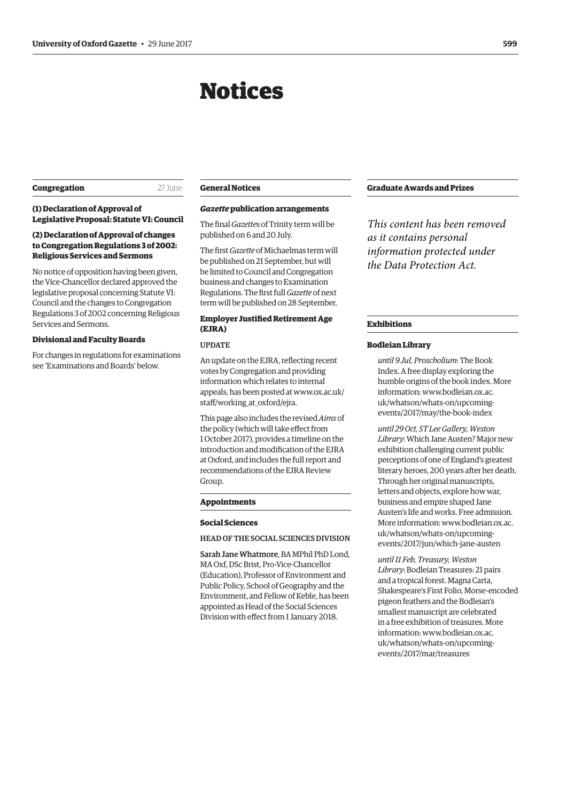# Notices

# <span id="page-2-0"></span>**Congregation** 27 June

# **(1) Declaration of Approval of Legislative Proposal: Statute VI: Council**

# **(2) Declaration of Approval of changes to Congregation Regulations 3 of 2002: Religious Services and Sermons**

No notice of opposition having been given, the Vice-Chancellor declared approved the legislative proposal concerning Statute VI: Council and the changes to Congregation Regulations 3 of 2002 concerning Religious Services and Sermons.

# **Divisional and Faculty Boards**

For changes in regulations for examinations see ['Examinations and Boards'](#page-3-0) below.

# **General Notices**

# *Gazette* **publication arrangements**

The final *Gazette*s of Trinity term will be published on 6 and 20 July.

The first *Gazette* of Michaelmas term will be published on 21 September, but will be limited to Council and Congregation business and changes to Examination Regulations. The first full *Gazette* of next term will be published on 28 September.

# **Employer Justified Retirement Age (EJRA)**

#### UPDATE

An update on the EJRA, reflecting recent votes by Congregation and providing information which relates to internal [appeals, has been posted at www.ox.ac.uk/](www.ox.ac.uk/staff/working_at_oxford/ejra) staff/working\_at\_oxford/ejra.

This page also includes the revised *Aims* of the policy (which will take effect from 1 October 2017), provides a timeline on the introduction and modification of the EJRA at Oxford, and includes the full report and recommendations of the EJRA Review Group.

#### **Appointments**

#### **Social Sciences**

## HEAD OF THE SOCIAL SCIENCES DIVISION

Sarah Jane Whatmore, BA MPhil PhD Lond, MA Oxf, DSc Brist, Pro-Vice-Chancellor (Education), Professor of Environment and Public Policy, School of Geography and the Environment, and Fellow of Keble, has been appointed as Head of the Social Sciences Division with effect from 1 January 2018.

# **Graduate Awards and Prizes**

*This content has been removed as it contains personal information protected under the Data Protection Act.*

## **Exhibitions**

# **Bodleian Library**

*until 9 Jul, Proscholium*: The Book Index. A free display exploring the humble origins of the book index. More information: www.bodleian.ox.ac. [uk/whatson/whats-on/upcoming](www.bodleian.ox.ac.uk/whatson/whats-on/upcoming-events/2017/may/the-book-index)events/2017/may/the-book-index

*until 29 Oct, ST Lee Gallery, Weston Library*: Which Jane Austen? Major new exhibition challenging current public perceptions of one of England's greatest literary heroes, 200 years after her death. Through her original manuscripts, letters and objects, explore how war, business and empire shaped Jane Austen's life and works. Free admission. [More information: www.bodleian.ox.ac.](www.bodleian.ox.ac.uk/whatson/whats-on/upcoming-events/2017/jun/which-jane-austen) uk/whatson/whats-on/upcomingevents/2017/jun/which-jane-austen

*until 11 Feb, Treasury, Weston Library*: Bodleian Treasures: 21 pairs and a tropical forest. Magna Carta, Shakespeare's First Folio, Morse-encoded pigeon feathers and the Bodleian's smallest manuscript are celebrated in a free exhibition of treasures. More information: www.bodleian.ox.ac. [uk/whatson/whats-on/upcoming](www.bodleian.ox.ac.uk/whatson/whats-on/upcoming-events/2017/mar/treasures)events/2017/mar/treasures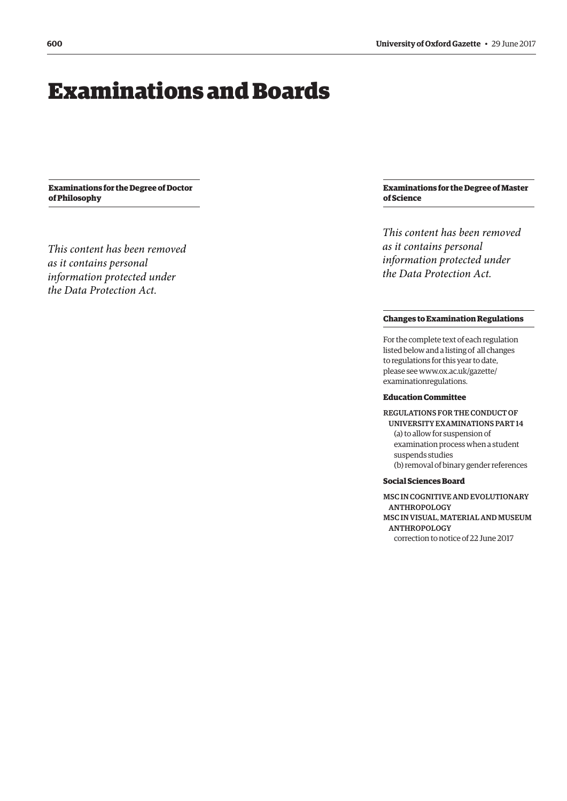# <span id="page-3-0"></span>Examinations and Boards

**Examinations for the Degree of Doctor of Philosophy**

*This content has been removed as it contains personal information protected under the Data Protection Act.*

# **Examinations for the Degree of Master of Science**

*This content has been removed as it contains personal information protected under the Data Protection Act.*

# **Changes to Examination Regulations**

For the complete text of each regulation listed below and a listing of all changes to regulations for this year to date, [please see www.ox.ac.uk/gazette/](www.ox.ac.uk/gazette/examinationregulations) examinationregulations.

#### **Education Committee**

REGULATIONS FOR THE CONDUCT OF UNIVERSITY EXAMINATIONS PART 14 (a) to allow for suspension of examination process when a student suspends studies (b) removal of binary gender references

# **Social Sciences Board**

MSC IN COGNITIVE AND EVOLUTIONARY ANTHROPOLOGY MSC IN VISUAL, MATERIAL AND MUSEUM ANTHROPOLOGY correction to notice of 22 June 2017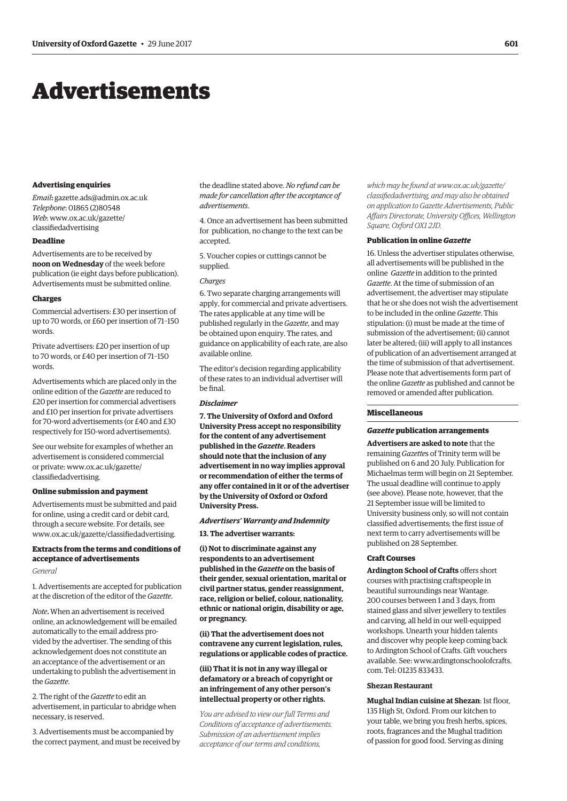# <span id="page-4-0"></span>Advertisements

#### **Advertising enquiries**

*Email***:** [gazette.ads@admin.ox.ac.uk](mailto:gazette.ads@admin.ox.ac.uk) *Telephone*: 01865 (2)80548 *Web*[: www.ox.ac.uk/gazette/](www.ox.ac.uk/gazette/classifiedadvertising) classifiedadvertising

# **Deadline**

Advertisements are to be received by **noon on Wednesday** of the week before publication (ie eight days before publication). Advertisements must be submitted online.

#### **Charges**

Commercial advertisers: £30 per insertion of up to 70 words, or £60 per insertion of 71–150 words.

Private advertisers: £20 per insertion of up to 70 words, or £40 per insertion of 71–150 words.

Advertisements which are placed only in the online edition of the *Gazette* are reduced to £20 per insertion for commercial advertisers and £10 per insertion for private advertisers for 70-word advertisements (or £40 and £30 respectively for 150-word advertisements).

See our website for examples of whether an advertisement is considered commercial [or private: www.ox.ac.uk/gazette/](www.ox.ac.uk/gazette/classifiedadvertising) classifiedadvertising.

#### **Online submission and payment**

Advertisements must be submitted and paid for online, using a credit card or debit card, through a secure website. For details, see [www.ox.ac.uk/gazette/classifiedadvertising.](http://www.ox.ac.uk/gazette/classifiedadvertising)

# **Extracts from the terms and conditions of acceptance of advertisements**

#### *General*

1. Advertisements are accepted for publication at the discretion of the editor of the *Gazette*.

*Note***.** When an advertisement is received online, an acknowledgement will be emailed automatically to the email address provided by the advertiser. The sending of this acknowledgement does not constitute an an acceptance of the advertisement or an undertaking to publish the advertisement in the *Gazette*.

2. The right of the *Gazette* to edit an advertisement, in particular to abridge when necessary, is reserved.

3. Advertisements must be accompanied by the correct payment, and must be received by

the deadline stated above. *No refund can be made for cancellation after the acceptance of advertisements*.

4. Once an advertisement has been submitted for publication, no change to the text can be accepted.

5. Voucher copies or cuttings cannot be supplied.

#### *Charges*

6. Two separate charging arrangements will apply, for commercial and private advertisers. The rates applicable at any time will be published regularly in the *Gazette*, and may be obtained upon enquiry. The rates, and guidance on applicability of each rate, are also available online.

The editor's decision regarding applicability of these rates to an individual advertiser will be final.

#### *Disclaimer*

**7. The University of Oxford and Oxford University Press accept no responsibility for the content of any advertisement published in the** *Gazette***. Readers should note that the inclusion of any advertisement in no way implies approval or recommendation of either the terms of any offer contained in it or of the advertiser by the University of Oxford or Oxford University Press.**

#### *Advertisers' Warranty and Indemnity*

**13. The advertiser warrants:**

**(i) Not to discriminate against any respondents to an advertisement published in the** *Gazette* **on the basis of their gender, sexual orientation, marital or civil partner status, gender reassignment, race, religion or belief, colour, nationality, ethnic or national origin, disability or age, or pregnancy.**

**(ii) That the advertisement does not contravene any current legislation, rules, regulations or applicable codes of practice.** 

# **(iii) That it is not in any way illegal or defamatory or a breach of copyright or an infringement of any other person's intellectual property or other rights.**

*You are advised to view our full Terms and Conditions of acceptance of advertisements. Submission of an advertisement implies acceptance of our terms and conditions,* 

*which may be found at www.ox.ac.uk/gazette/ [classifiedadvertising, and may also be obtained](www.ox.ac.uk/gazette/classifiedadvertising)  on application to Gazette Advertisements, Public Affairs Directorate, University Offices, Wellington Square, Oxford OX1 2JD.*

#### **Publication in online** *Gazette*

16. Unless the advertiser stipulates otherwise, all advertisements will be published in the online *Gazette* in addition to the printed *Gazette*. At the time of submission of an advertisement, the advertiser may stipulate that he or she does not wish the advertisement to be included in the online *Gazette*. This stipulation: (i) must be made at the time of submission of the advertisement; (ii) cannot later be altered; (iii) will apply to all instances of publication of an advertisement arranged at the time of submission of that advertisement. Please note that advertisements form part of the online *Gazette* as published and cannot be removed or amended after publication.

## **Miscellaneous**

#### *Gazette* **publication arrangements**

**Advertisers are asked to note** that the remaining *Gazette*s of Trinity term will be published on 6 and 20 July. Publication for Michaelmas term will begin on 21 September. The usual deadline will continue to apply (see above). Please note, however, that the 21 September issue will be limited to University business only, so will not contain classified advertisements; the first issue of next term to carry advertisements will be published on 28 September.

# **Craft Courses**

**Ardington School of Crafts** offers short courses with practising craftspeople in beautiful surroundings near Wantage. 200 courses between 1 and 3 days, from stained glass and silver jewellery to textiles and carving, all held in our well-equipped workshops. Unearth your hidden talents and discover why people keep coming back to Ardington School of Crafts. Gift vouchers [available. See: www.ardingtonschoolofcrafts.](www.ardingtonschoolofcrafts.com) com. Tel: 01235 833433.

#### **Shezan Restaurant**

**Mughal Indian cuisine at Shezan**: 1st floor, 135 High St, Oxford. From our kitchen to your table, we bring you fresh herbs, spices, roots, fragrances and the Mughal tradition of passion for good food. Serving as dining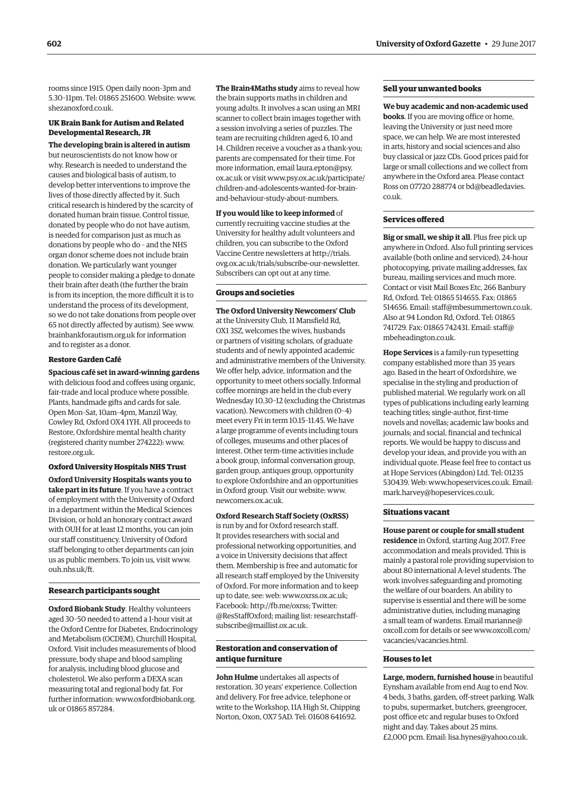rooms since 1915. Open daily noon–3pm and 5.30–11pm. Tel: 01865 251600. Website: [www.](http://www.shezanoxford.co.uk) [shezanoxford.co.uk.](http://www.shezanoxford.co.uk)

# **UK Brain Bank for Autism and Related Developmental Research, JR**

**The developing brain is altered in autism** but neuroscientists do not know how or why. Research is needed to understand the causes and biological basis of autism, to develop better interventions to improve the lives of those directly affected by it. Such critical research is hindered by the scarcity of donated human brain tissue. Control tissue, donated by people who do not have autism, is needed for comparison just as much as donations by people who do – and the NHS organ donor scheme does not include brain donation. We particularly want younger people to consider making a pledge to donate their brain after death (the further the brain is from its inception, the more difficult it is to understand the process of its development, so we do not take donations from people over 65 not directly affected by autism). See [www.](http://www.brainbankforautism.org.uk) [brainbankforautism.org.uk fo](http://www.brainbankforautism.org.uk)r information and to register as a donor.

#### **Restore Garden Café**

**Spacious café set in award-winning gardens** with delicious food and coffees using organic, fair-trade and local produce where possible. Plants, handmade gifts and cards for sale. Open Mon–Sat, 10am–4pm, Manzil Way, Cowley Rd, Oxford OX4 1YH. All proceeds to Restore, Oxfordshire mental health charity (registered charity number 274222): [www.](http://www.restore.org.uk) [restore.org.uk.](http://www.restore.org.uk)

**Oxford University Hospitals NHS Trust Oxford University Hospitals wants you to take part in its future**. If you have a contract of employment with the University of Oxford in a department within the Medical Sciences Division, or hold an honorary contract award with OUH for at least 12 months, you can join our staff constituency. University of Oxford staff belonging to other departments can join us as public members. To join us, visit [www.](http://www.ouh.nhs.uk/ft) [ouh.nhs.uk/ft.](http://www.ouh.nhs.uk/ft)

# **Research participants sought**

**Oxford Biobank Study**. Healthy volunteers aged 30–50 needed to attend a 1-hour visit at the Oxford Centre for Diabetes, Endocrinology and Metabolism (OCDEM), Churchill Hospital, Oxford. Visit includes measurements of blood pressure, body shape and blood sampling for analysis, including blood glucose and cholesterol. We also perform a DEXA scan measuring total and regional body fat. For [further information: www.oxfordbiobank.org.](www.oxfordbiobank.org.uk) uk or 01865 857284.

**The Brain4Maths study** aims to reveal how the brain supports maths in children and young adults. It involves a scan using an MRI scanner to collect brain images together with a session involving a series of puzzles. The team are recruiting children aged 6, 10 and 14. Children receive a voucher as a thank-you; parents are compensated for their time. For more informatio[n, email laura.epton@psy.](mailto:laura.epton@psy.ox.ac.uk) ox.ac.uk or [visit www.psy.ox.ac.uk/participate/](www.psy.ox.ac.uk/participate/children-and-adolescents-wanted-for-brain-and-behaviour-study-about-numbers) children-and-adolescents-wanted-for-brainand-behaviour-study-about-numbers.

**If you would like to keep informed** of currently recruiting vaccine studies at the University for healthy adult volunteers and children, you can subscribe to the Oxford Vaccine Centre newsletters at http://trials. [ovg.ox.ac.uk/trials/subscribe-our-newsletter.](http://trials.ovg.ox.ac.uk/trials/subscribe-our-newsletter)  Subscribers can opt out at any time.

#### **Groups and societies**

**The Oxford University Newcomers' Club** at the University Club, 11 Mansfield Rd, OX1 3SZ, welcomes the wives, husbands or partners of visiting scholars, of graduate students and of newly appointed academic and administrative members of the University. We offer help, advice, information and the opportunity to meet others socially. Informal coffee mornings are held in the club every Wednesday 10.30–12 (excluding the Christmas vacation). Newcomers with children (0–4) meet every Fri in term 10.15–11.45. We have a large programme of events including tours of colleges, museums and other places of interest. Other term-time activities include a book group, informal conversation group, garden group, antiques group, opportunity to explore Oxfordshire and an opportunities in Oxford group. Visit our website: [www.](http://www.newcomers.ox.ac.uk) [newcomers.ox.ac.uk.](http://www.newcomers.ox.ac.uk)

# **Oxford Research Staff Society (OxRSS)**

is run by and for Oxford research staff. It provides researchers with social and professional networking opportunities, and a voice in University decisions that affect them. Membership is free and automatic for all research staff employed by the University of Oxford. For more information and to keep up to date, see: web: [www.oxrss.ox.ac.uk;](http://www.oxrss.ox.ac.uk)  Facebook: [http://fb.me/oxrss; T](http://fb.me/oxrss)witter: [@ResStaffOxford;](https://twitter.com/resstaffoxford) mailing list: [researchstaff](mailto:researchstaff-subscribe@maillist.ox.ac.uk)[subscribe@maillist.ox.ac.uk.](mailto:researchstaff-subscribe@maillist.ox.ac.uk)

# **Restoration and conservation of antique furniture**

**John Hulme** undertakes all aspects of restoration. 30 years' experience. Collection and delivery. For free advice, telephone or write to the Workshop, 11A High St, Chipping Norton, Oxon, OX7 5AD. Tel: 01608 641692.

# **Sell your unwanted books**

**We buy academic and non-academic used books**. If you are moving office or home, leaving the University or just need more space, we can help. We are most interested in arts, history and social sciences and also buy classical or jazz CDs. Good prices paid for large or small collections and we collect from anywhere in the Oxford area. Please contact [Ross on 07720 288774 or bd@beadledavies.](mailto:bd@beadledavies.co.uk) co.uk.

## **Services offered**

**Big or small, we ship it all**. Plus free pick up anywhere in Oxford. Also full printing services available (both online and serviced), 24-hour photocopying, private mailing addresses, fax bureau, mailing services and much more. Contact or visit Mail Boxes Etc, 266 Banbury Rd, Oxford. Tel: 01865 514655. Fax: 01865 514656. Email: [staff@mbesummertown.co.uk.](mailto:staff@mbesummertown.co.uk)  Also at 94 London Rd, Oxford. Tel: 01865 [741729. Fax: 01865 742431. Email: staff@](mailto:staff@mbeheadington.co.uk) mbeheadington.co.uk.

**Hope Services** is a family-run typesetting company established more than 35 years ago. Based in the heart of Oxfordshire, we specialise in the styling and production of published material. We regularly work on all types of publications including early learning teaching titles; single-author, first-time novels and novellas; academic law books and journals; and social, financial and technical reports. We would be happy to discuss and develop your ideas, and provide you with an individual quote. Please feel free to contact us at Hope Services (Abingdon) Ltd. Tel: 01235 530439. Web: [www.hopeservices.co.uk. Em](http://www.hopeservices.co.uk)ail: [mark.harvey@hopeservices.co.uk.](mailto:mark.harvey@hopeservices.co.uk)

#### **Situations vacant**

**House parent or couple for small student residence** in Oxford, starting Aug 2017. Free accommodation and meals provided. This is mainly a pastoral role providing supervision to about 80 international A-level students. The work involves safeguarding and promoting the welfare of our boarders. An ability to supervise is essential and there will be some administrative duties, including managing a small team of war[dens. Email marianne@](mailto:marianne@oxcoll.com) oxcoll.com f[or details or see www.oxcoll.com/](www.oxcoll.com/vacancies/vacancies.html) vacancies/vacancies.html.

#### **Houses to let**

**Large, modern, furnished house** in beautiful Eynsham available from end Aug to end Nov. 4 beds, 3 baths, garden, off-street parking. Walk to pubs, supermarket, butchers, greengrocer, post office etc and regular buses to Oxford night and day. Takes about 25 mins. £2,000 pcm. Email: [lisa.hynes@yahoo.co.uk.](mailto:lisa.hynes@yahoo.co.uk)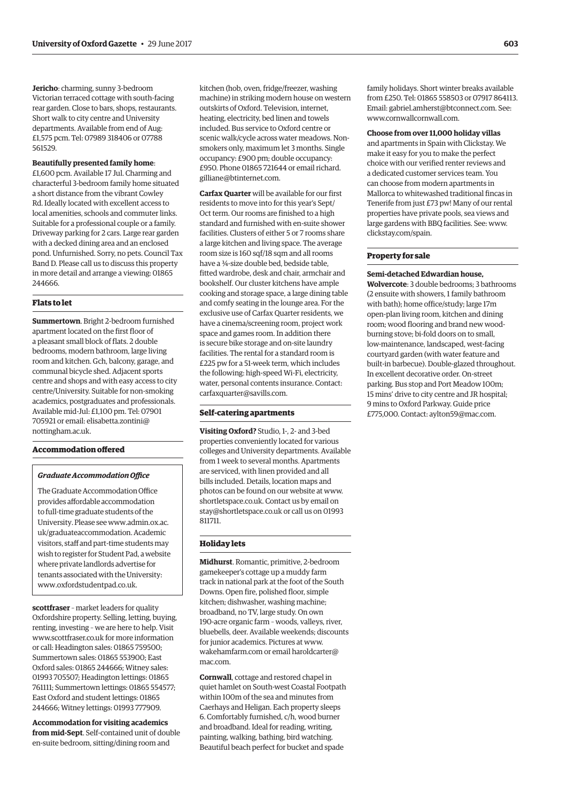**Jericho**: charming, sunny 3-bedroom Victorian terraced cottage with south-facing rear garden. Close to bars, shops, restaurants. Short walk to city centre and University departments. Available from end of Aug: £1,575 pcm. Tel: 07989 318406 or 07788 561529.

# **Beautifully presented family home**:

£1,600 pcm. Available 17 Jul. Charming and characterful 3-bedroom family home situated a short distance from the vibrant Cowley Rd. Ideally located with excellent access to local amenities, schools and commuter links. Suitable for a professional couple or a family. Driveway parking for 2 cars. Large rear garden with a decked dining area and an enclosed pond. Unfurnished. Sorry, no pets. Council Tax Band D. Please call us to discuss this property in more detail and arrange a viewing: 01865 244666.

## **Flats to let**

**Summertown**. Bright 2-bedroom furnished apartment located on the first floor of a pleasant small block of flats. 2 double bedrooms, modern bathroom, large living room and kitchen. Gch, balcony, garage, and communal bicycle shed. Adjacent sports centre and shops and with easy access to city centre/University. Suitable for non-smoking academics, postgraduates and professionals. Available mid-Jul: £1,100 pm. Tel: 07901 [705921 or email: elisabetta.zontini@](mailto:elisabetta.zontini@nottingham.ac.uk) nottingham.ac.uk.

# **Accommodation offered**

## *Graduate Accommodation Office*

The Graduate Accommodation Office provides affordable accommodation to full-time graduate students of the [University. Please see www.admin.ox.ac.](www.admin.ox.ac.uk/graduateaccommodation) uk/graduateaccommodation. Academic visitors, staff and part-time students may wish to register for Student Pad, a website where private landlords advertise for tenants associated with the University: [www.oxfordstudentpad.co.uk.](http://www.oxfordstudentpad.co.uk)

**scottfraser** – market leaders for quality Oxfordshire property. Selling, letting, buying, renting, investing – we are here to help. Visit [www.scottfraser.co.uk fo](http://www.scottfraser.co.uk)r more information or call: Headington sales: 01865 759500; Summertown sales: 01865 553900; East Oxford sales: 01865 244666; Witney sales: 01993 705507; Headington lettings: 01865 761111; Summertown lettings: 01865 554577; East Oxford and student lettings: 01865 244666; Witney lettings: 01993 777909.

**Accommodation for visiting academics from mid-Sept**. Self-contained unit of double en-suite bedroom, sitting/dining room and

kitchen (hob, oven, fridge/freezer, washing machine) in striking modern house on western outskirts of Oxford. Television, internet, heating, electricity, bed linen and towels included. Bus service to Oxford centre or scenic walk/cycle across water meadows. Nonsmokers only, maximum let 3 months. Single occupancy: £900 pm; double occupancy: £950. Phone 01865 721644 or email richard. [gilliane@btinternet.com.](mailto:gilliane@btinternet.com)

**Carfax Quarter** will be available for our first residents to move into for this year's Sept/ Oct term. Our rooms are finished to a high standard and furnished with en-suite shower facilities. Clusters of either 5 or 7 rooms share a large kitchen and living space. The average room size is 160 sqf/18 sqm and all rooms have a ¾-size double bed, bedside table, fitted wardrobe, desk and chair, armchair and bookshelf. Our cluster kitchens have ample cooking and storage space, a large dining table and comfy seating in the lounge area. For the exclusive use of Carfax Quarter residents, we have a cinema/screening room, project work space and games room. In addition there is secure bike storage and on-site laundry facilities. The rental for a standard room is £225 pw for a 51-week term, which includes the following: high-speed Wi-Fi, electricity, water, personal contents insurance. Contact: [carfaxquarter@savills.com.](mailto:carfaxquarter@savills.com)

# **Self-catering apartments**

**Visiting Oxford?** Studio, 1-, 2- and 3-bed properties conveniently located for various colleges and University departments. Available from 1 week to several months. Apartments are serviced, with linen provided and all bills included. Details, location maps and photos can be found on our website at [www.](http://www.shortletspace.co.uk) [shortletspace.co.uk. Co](http://www.shortletspace.co.uk)ntact us by email on [stay@shortletspace.co.uk or](mailto:stay@shortletspace.co.uk) call us on 01993 811711.

## **Holiday lets**

**Midhurst**. Romantic, primitive, 2-bedroom gamekeeper's cottage up a muddy farm track in national park at the foot of the South Downs. Open fire, polished floor, simple kitchen; dishwasher, washing machine; broadband, no TV, large study. On own 190-acre organic farm – woods, valleys, river, bluebells, deer. Available weekends; discounts for junior academics. Pictures at [www.](http://www.wakehamfarm.com) [wakehamfarm.com or](http://www.wakehamfarm.com) e[mail haroldcarter@](mailto:haroldcarter@mac.com) mac.com.

**Cornwall**, cottage and restored chapel in quiet hamlet on South-west Coastal Footpath within 100m of the sea and minutes from Caerhays and Heligan. Each property sleeps 6. Comfortably furnished, c/h, wood burner and broadband. Ideal for reading, writing, painting, walking, bathing, bird watching. Beautiful beach perfect for bucket and spade

family holidays. Short winter breaks available from £250. Tel: 01865 558503 or 07917 864113. Email: [gabriel.amherst@btconnect.com. Se](mailto:gabriel.amherst@btconnect.com)e: [www.cornwallcornwall.com.](http://www.cornwallcornwall.com)

**Choose from over 11,000 holiday villas** and apartments in Spain with Clickstay. We make it easy for you to make the perfect choice with our verified renter reviews and a dedicated customer services team. You can choose from modern apartments in Mallorca to whitewashed traditional fincas in Tenerife from just £73 pw! Many of our rental properties have private pools, sea views and large gardens with BBQ facilities. See: [www.](http://www.clickstay.com/spain) [clickstay.com/spain.](http://www.clickstay.com/spain)

# **Property for sale**

**Semi-detached Edwardian house, Wolvercote**: 3 double bedrooms; 3 bathrooms (2 ensuite with showers, 1 family bathroom with bath); home office/study; large 17m open-plan living room, kitchen and dining room; wood flooring and brand new woodburning stove; bi-fold doors on to small, low-maintenance, landscaped, west-facing courtyard garden (with water feature and built-in barbecue). Double-glazed throughout. In excellent decorative order. On-street parking. Bus stop and Port Meadow 100m; 15 mins' drive to city centre and JR hospital; 9 mins to Oxford Parkway. Guide price £775,000. Contact: [aylton59@mac.com.](mailto:aylton59@mac.com)